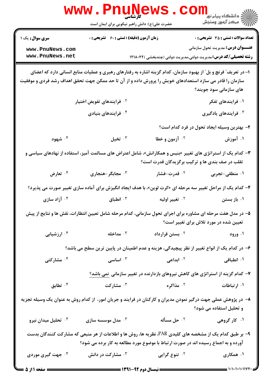|                                                                                                                                                                                                                                                         | <b>WWW</b> .<br><b>PINUNG</b><br><b>کارشناسی</b><br>حضرت علی(ع): دانش راهبر نیکویی برای ایمان است          |                                                                                        | راد دانشگاه پيام نور ■<br>ار⊂مرکز آزمون وسنجش |  |  |
|---------------------------------------------------------------------------------------------------------------------------------------------------------------------------------------------------------------------------------------------------------|------------------------------------------------------------------------------------------------------------|----------------------------------------------------------------------------------------|-----------------------------------------------|--|--|
| <b>سری سوال :</b> یک ۱                                                                                                                                                                                                                                  | <b>زمان آزمون (دقیقه) : تستی : 60 ٪ تشریحی : 0</b>                                                         |                                                                                        | <b>تعداد سوالات : تستی : 35 تشریحی : 0</b>    |  |  |
| www.PnuNews.com<br>www.PnuNews.net                                                                                                                                                                                                                      |                                                                                                            | <b>رشته تحصیلی/کد درس:</b> مدیریت دولتی،مدیریت دولتی (چندبخشی )۱۲۱۸۰۴۲                 | <b>عنـــوان درس:</b> مدیریت تحول سازمانی      |  |  |
| ا– در تعریف ؒ فرنچ و بل ؒ از بهبود سازمان، کدام گزینه اشاره به رفتارهای رهبری و عملیات منابع انسانی دارد که اعضای<br>سازمان را قادر می سازد استعدادهای خویش را پرورش داده و از آن تا حد ممکن جهت تحقق اهداف رشد فردی و موفقیت<br>های سازمانی سود جویند؟ |                                                                                                            |                                                                                        |                                               |  |  |
|                                                                                                                                                                                                                                                         | <sup>۲</sup> ۰ فرایندهای تفویض اختیار                                                                      |                                                                                        | ۰۱ فرایندهای تفکر                             |  |  |
|                                                                                                                                                                                                                                                         | ۰۴ فرایندهای بنیادی                                                                                        |                                                                                        | ۰ <sup>۳</sup> فرایندهای یادگیری              |  |  |
|                                                                                                                                                                                                                                                         |                                                                                                            |                                                                                        | ۲– بهترین وسیله ایجاد تحول در فرد کدام است؟   |  |  |
| ۰۴ شهود                                                                                                                                                                                                                                                 | تخيل $\cdot$                                                                                               | <sup>7.</sup> آزمون و خطا                                                              | ۰۱ آموزش                                      |  |  |
| ۳- کدام یک از استراتژی های تغییر «بنیس و همکارانش»، شامل اعتراض های مسالمت آمیز، استفاده از نهادهای سیاسی و<br>تقلب در صف بندی ها و ترکیب برگزیدگان قدرت است؟                                                                                           |                                                                                                            |                                                                                        |                                               |  |  |
| ۰۴ تعارض                                                                                                                                                                                                                                                | ۰۳ مجابگر -هنجاری                                                                                          | ۰ <sup>۲</sup> قدرت-فشار                                                               | ۰۱ منطقی-تجربی                                |  |  |
|                                                                                                                                                                                                                                                         | ۴- کدام یک از مراحل تغییر سه مرحله ای «کرت لوین»، با هدف ایجاد انگیزش برای آماده سازی تغییر صورت می پذیرد؟ |                                                                                        |                                               |  |  |
| ۰ <sup>۴</sup> آزاد سازی                                                                                                                                                                                                                                | انطباق $\cdot$                                                                                             | ۰ <sup>۲</sup> تغییر اولیه                                                             | ۰۱ باز بستن                                   |  |  |
| ۵– در مدل هفت مرحله ای مشاوره برای اجرای تحول سازمانی، کدام مرحله شامل تعیین انتظارات، نقش ها و نتایج از پیش<br>تعیین شده در مورد تلاش برای تغییر است؟                                                                                                  |                                                                                                            |                                                                                        |                                               |  |  |
| ۰۴ ارزشیابی                                                                                                                                                                                                                                             | ا مداخله $\cdot$                                                                                           | ۰ <sup>۲</sup> بستن قرارداد                                                            | ۰۱ ورود                                       |  |  |
|                                                                                                                                                                                                                                                         | ۶– در کدام یک از انواع تغییر از نظر پیچیدگی، هزینه و عدم اطمینان در پایین ترین سطح می باشد؟                |                                                                                        |                                               |  |  |
| ۰۴ مشارکتی                                                                                                                                                                                                                                              | اساسی $\cdot$ "                                                                                            | ۰ <sup>۲</sup> ابداعی                                                                  | ۰۱ انطباقی                                    |  |  |
|                                                                                                                                                                                                                                                         |                                                                                                            | ۷– کدام گزینه از استراتژی های کاهش نیروهای بازدارنده در تغییر سازمانی <u>نمی باشد؟</u> |                                               |  |  |
| تطابق $\cdot$ $^\mathsf{f}$                                                                                                                                                                                                                             | ۰ <sup>۳</sup> مشارکت                                                                                      | ۰۲ مذاکره                                                                              | ۰۱ ارتباطات                                   |  |  |
| ۸– در پژوهش عملی جهت درگیر نمودن مدیران و کارکنان در فرایند و جریان امور، از کدام روش به عنوان یک وسیله تجزیه<br>و تحلیل استفاده می شود؟                                                                                                                |                                                                                                            |                                                                                        |                                               |  |  |
| ۰۴ تحلیل میدان نیرو                                                                                                                                                                                                                                     | مدل موسسه سازی $\cdot^{\mathtt{w}}$                                                                        | ۰ <sup>۲</sup> حل مسأله                                                                | ۰۱ کار گروهی                                  |  |  |
| ۹– بر طبق کدام یک از مشخصه های کلیدی PAR، نظریه ها، روش ها و اطلاعات از هر منبعی که مشارکت کنندگان بدست<br>آورده و به اجماع رسیده اند در صورت ارتباط با موضوع مورد مطالعه به کار برده می شود؟                                                           |                                                                                                            |                                                                                        |                                               |  |  |
| ۰۴ جهت گیری موردی<br>ـــــــــــ صفحه 11; 5 ـــا                                                                                                                                                                                                        | ۰۳ مشارکت در دانش                                                                                          | ۰۲ تنوع گرایی                                                                          | ۰۱ همکاری                                     |  |  |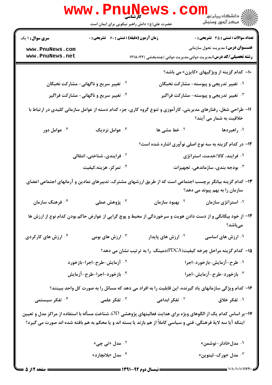|                                    | WWW.Pnune                                          | حضرت علی(ع): دانش راهبر نیکویی برای ایمان است                                                                                                                                                                                       | ران دانشگاه پيام نور<br>ا <mark>ر</mark> ≫مرکز آزمون وسنجش                             |  |
|------------------------------------|----------------------------------------------------|-------------------------------------------------------------------------------------------------------------------------------------------------------------------------------------------------------------------------------------|----------------------------------------------------------------------------------------|--|
| <b>سری سوال : ۱ یک</b>             | <b>زمان آزمون (دقیقه) : تستی : 60 گشریحی : 0</b>   |                                                                                                                                                                                                                                     | <b>تعداد سوالات : تستی : 35 تشریحی : 0</b>                                             |  |
| www.PnuNews.com<br>www.PnuNews.net |                                                    | <b>رشته تحصیلی/کد درس:</b> مدیریت دولتی،مدیریت دولتی (چندبخشی )۱۲۱۸۰۴۲                                                                                                                                                              | <b>عنـــوان درس:</b> مدیریت تحول سازمانی                                               |  |
|                                    |                                                    |                                                                                                                                                                                                                                     |                                                                                        |  |
|                                    | <b>گ تغییر سریع و ناگهانی- مشارکت نخبگان</b>       |                                                                                                                                                                                                                                     | •ا– کدام گزینه از ویژگیهای «کایزن» می باشد؟<br>۰۱ تغییر تدریجی و پیوسته- مشارکت نخبگان |  |
|                                    | <sup>۴ .</sup> تغییر سریع و ناگهانی- مشارکت فراگیر |                                                                                                                                                                                                                                     | ۰۳ تغییر تدریجی و پیوسته- مشارکت فراگیر                                                |  |
|                                    |                                                    |                                                                                                                                                                                                                                     |                                                                                        |  |
|                                    |                                                    | ۱۱- طراحی شغل، رفتارهای مدیریتی، کارآموزی و تنوع گروه کاری، جزء کدام دسته از عوامل سازمانی کلیدی در ارتباط با                                                                                                                       | خلاقیت به شمار می آیند؟                                                                |  |
| عوامل دور $\cdot$ ۴                | عوامل نزدیک $\cdot^{\mathsf{y}}$                   | <sup>۲.</sup> خط مشی ها                                                                                                                                                                                                             | ۰۱ راهبردها                                                                            |  |
|                                    |                                                    |                                                                                                                                                                                                                                     | ۱۲- در کدام گزینه به سه نوع اصلی نوآوری اشاره شده است؟                                 |  |
|                                    | <sup>۲.</sup> فرایندی، شناختی، انتقالی             |                                                                                                                                                                                                                                     | ۰۱ فرایند، کالا/خدمت، استراتژی                                                         |  |
|                                    | ۰۴ تمرکز، هزینه،کیفیت                              |                                                                                                                                                                                                                                     | بودجه بندی، سازماندهی، تجهیزات $\cdot$                                                 |  |
|                                    |                                                    | ۱۳– کدام گزینه بیانگر برچسب اجتماعی است که از طریق ارزشهای مشترک، تدبیرهای نمادین و آرمانهای اجتماعی اعضای                                                                                                                          | سازمان را به بهم پیوند می دهد؟                                                         |  |
| ۰۴ فرهنگ سازمان                    | ۰ <sup>۳</sup> پژوهش عملی                          | ۰ <sup>۲</sup> بهبود سازمان                                                                                                                                                                                                         | ۰۱ استراتژی سازمان                                                                     |  |
|                                    |                                                    | ۱۴– از خود بیگانگی و از دست دادن هویت و سرخوردگی از محیط و پوچ گرایی از عوارض حاکم بودن کدام نوع از ارزش ها                                                                                                                         | مىباشد؟                                                                                |  |
| ۰ <sup>۴ ا</sup> رزش های کارکردی   | ۰ <sup>۳</sup> ارزش های بومی                       | ۰ <sup>۲</sup> ارزش های پایدار                                                                                                                                                                                                      | ۰۱ ارزش های اساسی                                                                      |  |
|                                    |                                                    | ۱۵- کدام گزینه مراحل چرخه کیفیت(PDCA)دمینگ را به ترتیب نشان می دهد؟                                                                                                                                                                 |                                                                                        |  |
|                                    | ۰ <sup>۲</sup> آزمایش-طرح-اجرا-بازخورد             |                                                                                                                                                                                                                                     | ۰۱ طرح-آزمایش-بازخورد-اجرا                                                             |  |
|                                    | ۰۴ بازخورد-اجرا-طرح-آزمایش                         |                                                                                                                                                                                                                                     | ٣. بازخورد-طرح-آزمايش-اجرا                                                             |  |
|                                    |                                                    | ۱۶– کدام ویژگی سازمانهای یاد گیرنده، این قابلیت را به افراد می دهد که مسائل را به صورت کل واحد ببینند؟                                                                                                                              |                                                                                        |  |
| ۰۴ تفکر سیستمی                     | ۰۳ تفکر علمی                                       | ۰ <sup>۲</sup> تفکر ابداعی                                                                                                                                                                                                          | ۰۱ تفکر خلاق                                                                           |  |
|                                    |                                                    | ۱۷–بر اساس کدام یک از الگوهای ویژه برای هدایت فعالیتهای پژوهشی OD، شناخت مسأله با استفاده از مراکز مدل و تعیین<br>اینکه آیا سه لایهٔ فرهنگی، فنی و سیاسی کاملاً از هم بازند یا بسته اند و یا محکم به هم بافته شده اند صورت می گیرد؟ |                                                                                        |  |
|                                    | ۰۲ مدل «تی چی»                                     |                                                                                                                                                                                                                                     | ۰۱ مدل«نادلر-توشمن»                                                                    |  |
|                                    | ۰۴ مدل «بلانچارد»                                  |                                                                                                                                                                                                                                     | ۰۳ مدل «بورک-لیتوین»                                                                   |  |
| <b>= صفحه 2 از 5 =</b>             |                                                    |                                                                                                                                                                                                                                     |                                                                                        |  |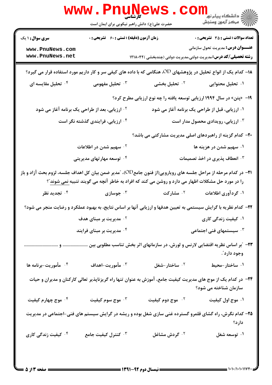|                                                                                                                                                                                                                                     |                                                            |                              | <b>WWW.Pnungews.com</b>                                                                                            |  |  |
|-------------------------------------------------------------------------------------------------------------------------------------------------------------------------------------------------------------------------------------|------------------------------------------------------------|------------------------------|--------------------------------------------------------------------------------------------------------------------|--|--|
| <b>سری سوال : ۱ یک</b>                                                                                                                                                                                                              | زمان آزمون (دقیقه) : تستی : 60 گشریحی : 0                  |                              | <b>تعداد سوالات : تستی : 35 تشریحی : 0</b>                                                                         |  |  |
| www.PnuNews.com<br>www.PnuNews.net                                                                                                                                                                                                  |                                                            |                              | <b>عنـــوان درس:</b> مدیریت تحول سازمانی<br><b>رشته تحصیلی/کد درس:</b> مدیریت دولتی،مدیریت دولتی (چندبخشی )۱۲۱۸۰۴۲ |  |  |
| ۱۸− کدام یک از انواع تحلیل در پژوهشهای OD، هنگامی که با داده های کیفی سر و کار داریم مورد استفاده قرار می گیرد؟                                                                                                                     |                                                            |                              |                                                                                                                    |  |  |
| ۰۴ تحلیل مقایسه ای                                                                                                                                                                                                                  | ۰۳ تحلیل مفهومی                                            | ۰۲ تحلیل بخشی                | ۰۱ تحلیل محتوایی                                                                                                   |  |  |
|                                                                                                                                                                                                                                     |                                                            |                              | ۱۹- «پتن» در سال ۱۹۹۴ ارزیابی توسعه یافته را چه نوع ارزیابی مطرح کرد؟                                              |  |  |
|                                                                                                                                                                                                                                     | <sup>۲</sup> ۰ ارزیابی، بعد از طراحی یک برنامه آغاز می شود |                              | ۰۱ ارزیابی، قبل از طراحی یک برنامه آغاز می شود                                                                     |  |  |
|                                                                                                                                                                                                                                     | <sup>۴.</sup> ارزیابی، فرایندی گذشته نگر است               |                              | ارزیابی، رویدادی محصول مدار است $\cdot$                                                                            |  |  |
| <b>۲۰</b> - کدام گزینه از راهبردهای اصلی مدیریت مشارکتی می باشد؟                                                                                                                                                                    |                                                            |                              |                                                                                                                    |  |  |
|                                                                                                                                                                                                                                     | ۰ <sup>۲</sup> سهیم شدن در اطلاعات                         |                              | ۰۱ سهیم شدن در هزینه ها                                                                                            |  |  |
|                                                                                                                                                                                                                                     | ۰۴ توسعه مهارتهای مدیریتی                                  |                              | <b>۴ وانعطاف پذیری در اخذ تصمیمات</b>                                                                              |  |  |
| <b>۲۱</b> - در کدام مرحله از مراحل جلسه های رویارویی(از فنون جامعOD)، "مدیر ضمن بیان کل اهداف جلسه، لزوم بحث آزاد و باز<br>را در مورد حل مشکلات اظهار می دارد و روشن می کند که افراد به خاطر آنچه می گویند تنبیه <u>نمی</u> شوند ؒ؟ |                                                            |                              |                                                                                                                    |  |  |
| ۰۴ تجدید نظر                                                                                                                                                                                                                        | جوسازی $\cdot^{\mathsf{r}}$                                | ۰ <sup>۲</sup> مشارکت        | ۰۱ گردآوری اطلاعات                                                                                                 |  |  |
|                                                                                                                                                                                                                                     |                                                            |                              | ۲۲- کدام نظریه با گرایش سیستمی به تعیین هدفها و ارزیابی آنها بر اساس نتایج، به بهبود عملکرد و رضایت منجر می شود؟   |  |  |
|                                                                                                                                                                                                                                     | ۰ <sup>۲</sup> مدیریت بر مبنای هدف                         |                              | ۰۱ کیفیت زندگی کاری                                                                                                |  |  |
| ۰۴ مدیریت بر مبنای فرایند                                                                                                                                                                                                           |                                                            |                              | ۰ <sup>۳ س</sup> یستمهای فنی اجتماعی $\cdot$                                                                       |  |  |
| وجود دارد ؒ.                                                                                                                                                                                                                        |                                                            |                              |                                                                                                                    |  |  |
| ۰۴ مأموريت-برنامه ها                                                                                                                                                                                                                | ۰ <sup>۳</sup> مأموريت-اهداف                               | ۰ <sup>۲</sup> ساختار-شغل    | ۰۱ ساختار-محیط                                                                                                     |  |  |
| ۲۴– در کدام یک از موج های مدیریت کیفیت جامع، آموزش به عنوان تنها راه گریزناپذیر تعالی کارکنان و مدیران و حیات<br>سازمان شناخته می شود؟                                                                                              |                                                            |                              |                                                                                                                    |  |  |
| ۰۴ موج چهارم کیفیت                                                                                                                                                                                                                  | ۰۳ موج سوم کیفیت                                           | ۰ <sup>۲</sup> موج دوم کیفیت | ۰۱ موج اول کیفیت                                                                                                   |  |  |
| ۲۵- کدام نگرش، راه گشای قلمرو گسترده غنی سازی شغل بوده و ریشه در گرایش سیستم های فنی-اجتماعی در مدیریت<br>دارد؟                                                                                                                     |                                                            |                              |                                                                                                                    |  |  |
| ۰ <sup>۴</sup> کیفیت زندگی کاری                                                                                                                                                                                                     | نترل کیفیت جامع $\cdot$ ۳                                  | ۰ <sup>۲</sup> گردش مشاغل    | ۰۱ توسعه شغل                                                                                                       |  |  |
|                                                                                                                                                                                                                                     |                                                            |                              |                                                                                                                    |  |  |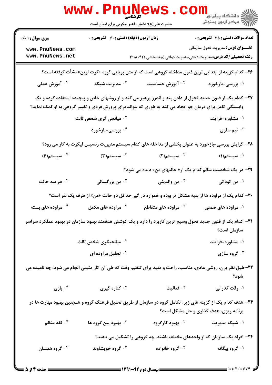|                                                                                                                                                                                                                       | WWW . PILLIN<br>کارشناسی<br>حضرت علی(ع): دانش راهبر نیکویی برای ایمان است |                                                                                                             | دانشگاه پيام نور <mark>- -</mark><br>  <i>  &gt; مرکز</i> آزمون وسنجش |  |  |
|-----------------------------------------------------------------------------------------------------------------------------------------------------------------------------------------------------------------------|---------------------------------------------------------------------------|-------------------------------------------------------------------------------------------------------------|-----------------------------------------------------------------------|--|--|
| <b>سری سوال : ۱ یک</b>                                                                                                                                                                                                | <b>زمان آزمون (دقیقه) : تستی : 60 ٪ تشریحی : 0</b>                        |                                                                                                             | <b>تعداد سوالات : تستی : 35 تشریحی : 0</b>                            |  |  |
| www.PnuNews.com<br>www.PnuNews.net                                                                                                                                                                                    |                                                                           | <b>رشته تحصیلی/کد درس:</b> مدیریت دولتی،مدیریت دولتی (چندبخشی )۱۲۱۸۰۴۲                                      | <b>عنـــوان درس:</b> مدیریت تحول سازمانی                              |  |  |
| <b>۲۶</b> – کدام گزینه از ابتدایی ترین فنون مداخله گروهی است که از متن پویایی گروه «کرت لوین» نشأت گرفته است؟                                                                                                         |                                                                           |                                                                                                             |                                                                       |  |  |
| ۰۴ آموزش عملی                                                                                                                                                                                                         | ۰ <sup>۳</sup> مدیریت شبکه                                                | ۰ <sup>۲</sup> آموزش حساسیت                                                                                 | ۰۱ بررسی-بازخورد                                                      |  |  |
| ۲۷– کدام یک از فنون جدید تحول از دادن پند و اندرز پرهیز می کند و از روشهای خاص و پیچیده استفاده کرده و یک<br>وابستگی کامل برای درمان جو ایجاد می کند به طوری که بتواند برای پرورش فردی و تغییر گروهی به او کمک نماید؟ |                                                                           |                                                                                                             |                                                                       |  |  |
|                                                                                                                                                                                                                       | ۰ <sup>۲</sup> میانجی گری شخص ثالث                                        |                                                                                                             | ۰۱ مشاوره-فرایند                                                      |  |  |
|                                                                                                                                                                                                                       | ۰۴ بررسی-بازخورد                                                          |                                                                                                             | تيم سازى $\cdot^{\mathsf{r}}$                                         |  |  |
| ۲۸- گرایش بررسی-بازخورد به عنوان بخشی از مداخله های کدام سیستم مدیریت رنسیس لیکرت به کار می رود؟                                                                                                                      |                                                                           |                                                                                                             |                                                                       |  |  |
| $\mathfrak{e} \cdot \mathfrak{e}$ سيستم $\mathfrak{e} \cdot \mathfrak{e}$                                                                                                                                             | $\mathfrak{r}$ ۰۳ سیستم (۳ $\mathfrak{r}$                                 | ۰ <sup>۲</sup> سیستم(۲)                                                                                     | ۰۱ سیستم(۱)                                                           |  |  |
| <b>۲۹</b> - در یک شخصیت سالم کدام یک از« حالتهای من» دیده می شود؟                                                                                                                                                     |                                                                           |                                                                                                             |                                                                       |  |  |
| ۰۴ هر سه حالت                                                                                                                                                                                                         | ۰ <sup>۳</sup> من بزرگسالی                                                | <sup>٢</sup> ٠ من والديني                                                                                   | ۰۱ من کودکی                                                           |  |  |
|                                                                                                                                                                                                                       |                                                                           | <b>۳۰</b> - کدام یک از مراوده ها از بقیه مشکل تر بوده و همواره در گیر حداقل دو حالت «من» از طرف یک نفر است؟ |                                                                       |  |  |
| ۰ <sup>۴</sup> مراوده های بسته                                                                                                                                                                                        | مراوده های مکمل $\cdot^{\mathtt{w}}$                                      | <sup>۲.</sup> مراوده های متقاطع                                                                             | ۰۱ مراوده های ضمنی                                                    |  |  |
|                                                                                                                                                                                                                       |                                                                           | ۳۱– کدام یک از فنون جدید تحول وسیع ترین کاربرد را دارد و یک کوشش هدفمند بهبود سازمان در بهبود عملکرد سراسر  | سازمان است؟                                                           |  |  |
|                                                                                                                                                                                                                       | <b>7 . میانجیگری شخص ثالث</b>                                             |                                                                                                             | ۰۱ مشاوره-فرایند                                                      |  |  |
|                                                                                                                                                                                                                       | ۰۴ تحلیل مراوده ای                                                        |                                                                                                             | گروه سازی $\cdot^{\mathsf{y}}$                                        |  |  |
| 33-طبق نظر برن، روشی عادی، مناسب، راحت و مفید برای تنظیم وقت که طی آن کار مثبتی انجام می شود، چه نامیده می<br>شود؟                                                                                                    |                                                                           |                                                                                                             |                                                                       |  |  |
| ا بازی $\cdot$ ۴                                                                                                                                                                                                      | کناره گیری $\cdot^{\mathsf{r}}$                                           | ۰۲ فعالیت                                                                                                   | ۰۱ وقت گذرانی                                                         |  |  |
| ۳۳- هدف کدام یک از گزینه های زیر، تکامل گروه در سازمان از طریق تحلیل فرهنگ گروه و همچنین بهبود مهارت ها در<br>برنامه ریزی، هدف گذاری و حل مشکل است؟                                                                   |                                                                           |                                                                                                             |                                                                       |  |  |
| ۰ <sup>۴</sup> نقد منظم                                                                                                                                                                                               | بهبود بين گروه ها $\cdot^{\mathtt{w}}$                                    | ۰ <sup>۲</sup> بهبود کارگروه                                                                                | ۰۱ شبکه مدیریت                                                        |  |  |
| ۳۴- افراد یک سازمان که از واحدهای مختلف باشند، چه گروهی را تشکیل می دهند؟                                                                                                                                             |                                                                           |                                                                                                             |                                                                       |  |  |
| ۰۴ گروه همسان                                                                                                                                                                                                         | ۰ <sup>۳</sup> گروه خویشاوند                                              | ۰ <sup>۲</sup> گروه خانواده                                                                                 | ۰۱ گروه بیگانه                                                        |  |  |
| = صفحه 4 از 5 =                                                                                                                                                                                                       |                                                                           |                                                                                                             |                                                                       |  |  |